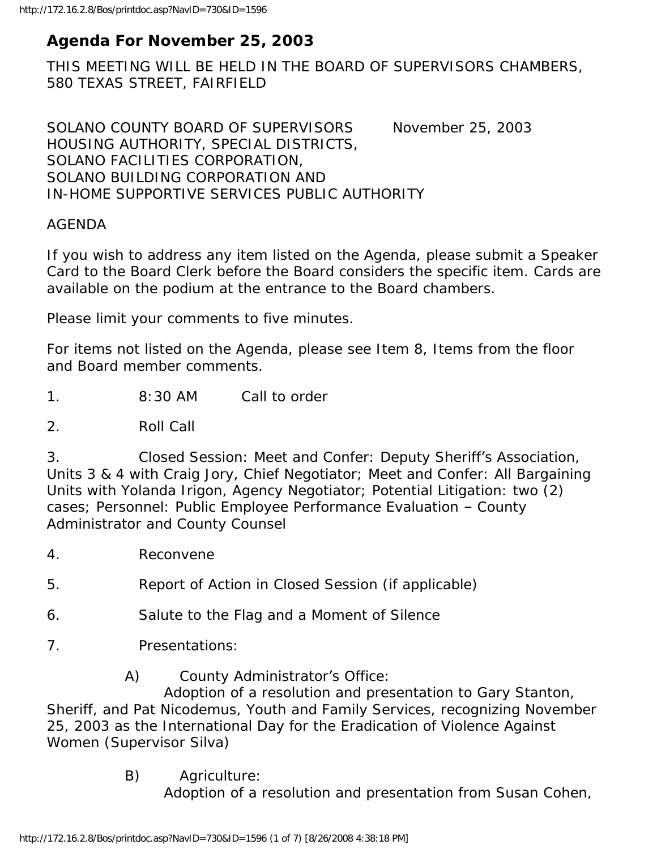# **Agenda For November 25, 2003**

THIS MEETING WILL BE HELD IN THE BOARD OF SUPERVISORS CHAMBERS, 580 TEXAS STREET, FAIRFIELD

SOLANO COUNTY BOARD OF SUPERVISORS November 25, 2003 HOUSING AUTHORITY, SPECIAL DISTRICTS, SOLANO FACILITIES CORPORATION, SOLANO BUILDING CORPORATION AND IN-HOME SUPPORTIVE SERVICES PUBLIC AUTHORITY

#### AGENDA

If you wish to address any item listed on the Agenda, please submit a Speaker Card to the Board Clerk before the Board considers the specific item. Cards are available on the podium at the entrance to the Board chambers.

Please limit your comments to five minutes.

For items not listed on the Agenda, please see Item 8, Items from the floor and Board member comments.

1. 8:30 AM Call to order

2. Roll Call

3. Closed Session: Meet and Confer: Deputy Sheriff's Association, Units 3 & 4 with Craig Jory, Chief Negotiator; Meet and Confer: All Bargaining Units with Yolanda Irigon, Agency Negotiator; Potential Litigation: two (2) cases; Personnel: Public Employee Performance Evaluation – County Administrator and County Counsel

- 4. Reconvene
- 5. Report of Action in Closed Session (if applicable)
- 6. Salute to the Flag and a Moment of Silence
- 7. Presentations:
	- A) County Administrator's Office:

 Adoption of a resolution and presentation to Gary Stanton, Sheriff, and Pat Nicodemus, Youth and Family Services, recognizing November 25, 2003 as the International Day for the Eradication of Violence Against Women (Supervisor Silva)

> B) Agriculture: Adoption of a resolution and presentation from Susan Cohen,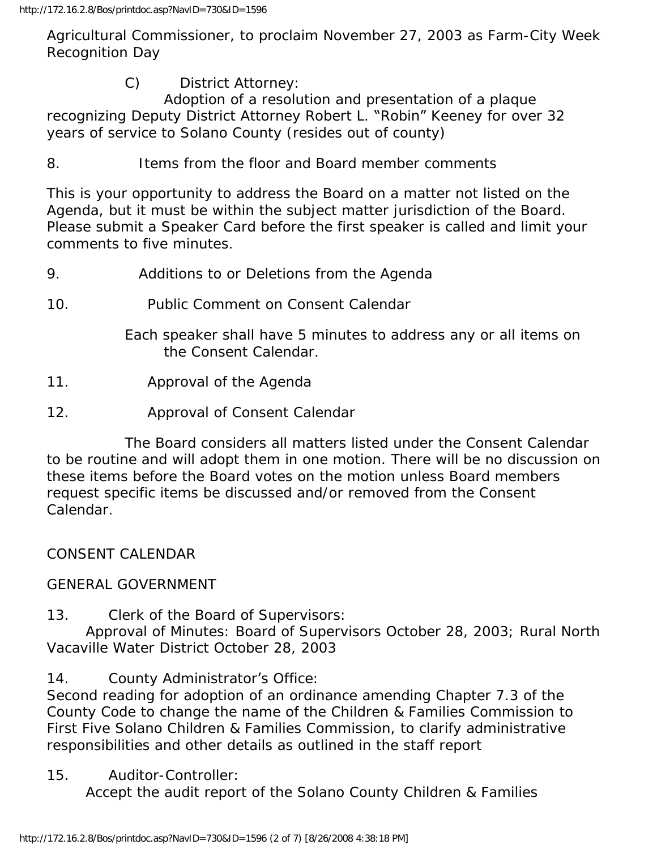Agricultural Commissioner, to proclaim November 27, 2003 as Farm-City Week Recognition Day

C) District Attorney:

 Adoption of a resolution and presentation of a plaque recognizing Deputy District Attorney Robert L. "Robin" Keeney for over 32 years of service to Solano County (resides out of county)

8. Items from the floor and Board member comments

This is your opportunity to address the Board on a matter not listed on the Agenda, but it must be within the subject matter jurisdiction of the Board. Please submit a Speaker Card before the first speaker is called and limit your comments to five minutes.

- 9. Additions to or Deletions from the Agenda
- 10. Public Comment on Consent Calendar

 Each speaker shall have 5 minutes to address any or all items on the Consent Calendar.

- 11. Approval of the Agenda
- 12. Approval of Consent Calendar

 The Board considers all matters listed under the Consent Calendar to be routine and will adopt them in one motion. There will be no discussion on these items before the Board votes on the motion unless Board members request specific items be discussed and/or removed from the Consent Calendar.

CONSENT CALENDAR

### GENERAL GOVERNMENT

13. Clerk of the Board of Supervisors:

 Approval of Minutes: Board of Supervisors October 28, 2003; Rural North Vacaville Water District October 28, 2003

14. County Administrator's Office:

Second reading for adoption of an ordinance amending Chapter 7.3 of the County Code to change the name of the Children & Families Commission to First Five Solano Children & Families Commission, to clarify administrative responsibilities and other details as outlined in the staff report

15. Auditor-Controller:

Accept the audit report of the Solano County Children & Families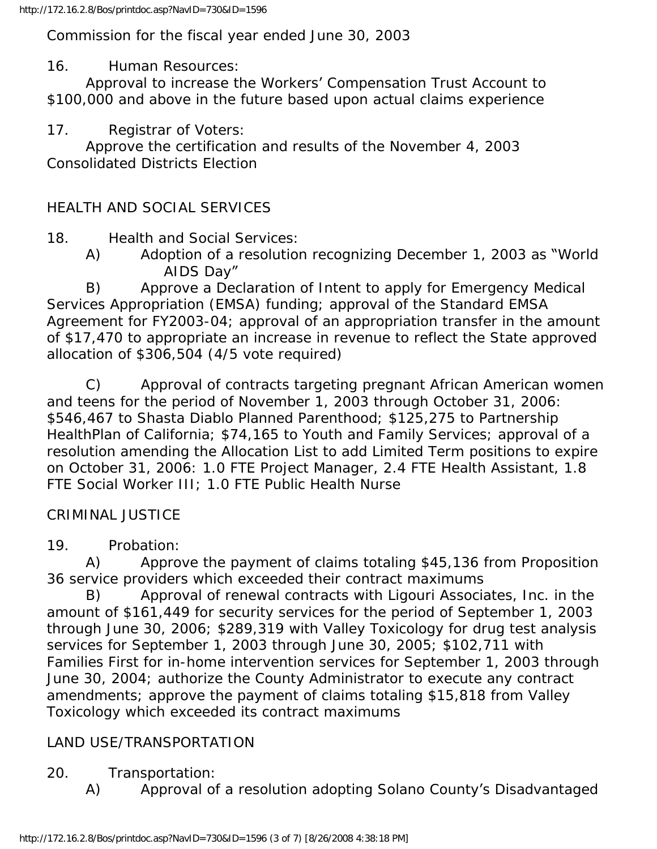Commission for the fiscal year ended June 30, 2003

16. Human Resources:

 Approval to increase the Workers' Compensation Trust Account to \$100,000 and above in the future based upon actual claims experience

17. Registrar of Voters:

 Approve the certification and results of the November 4, 2003 Consolidated Districts Election

## HEALTH AND SOCIAL SERVICES

18. Health and Social Services:

 A) Adoption of a resolution recognizing December 1, 2003 as "World AIDS Day"

 B) Approve a Declaration of Intent to apply for Emergency Medical Services Appropriation (EMSA) funding; approval of the Standard EMSA Agreement for FY2003-04; approval of an appropriation transfer in the amount of \$17,470 to appropriate an increase in revenue to reflect the State approved allocation of \$306,504 (4/5 vote required)

 C) Approval of contracts targeting pregnant African American women and teens for the period of November 1, 2003 through October 31, 2006: \$546,467 to Shasta Diablo Planned Parenthood; \$125,275 to Partnership HealthPlan of California; \$74,165 to Youth and Family Services; approval of a resolution amending the Allocation List to add Limited Term positions to expire on October 31, 2006: 1.0 FTE Project Manager, 2.4 FTE Health Assistant, 1.8 FTE Social Worker III; 1.0 FTE Public Health Nurse

## CRIMINAL JUSTICE

19. Probation:

 A) Approve the payment of claims totaling \$45,136 from Proposition 36 service providers which exceeded their contract maximums

 B) Approval of renewal contracts with Ligouri Associates, Inc. in the amount of \$161,449 for security services for the period of September 1, 2003 through June 30, 2006; \$289,319 with Valley Toxicology for drug test analysis services for September 1, 2003 through June 30, 2005; \$102,711 with Families First for in-home intervention services for September 1, 2003 through June 30, 2004; authorize the County Administrator to execute any contract amendments; approve the payment of claims totaling \$15,818 from Valley Toxicology which exceeded its contract maximums

## LAND USE/TRANSPORTATION

- 20. Transportation:
	- A) Approval of a resolution adopting Solano County's Disadvantaged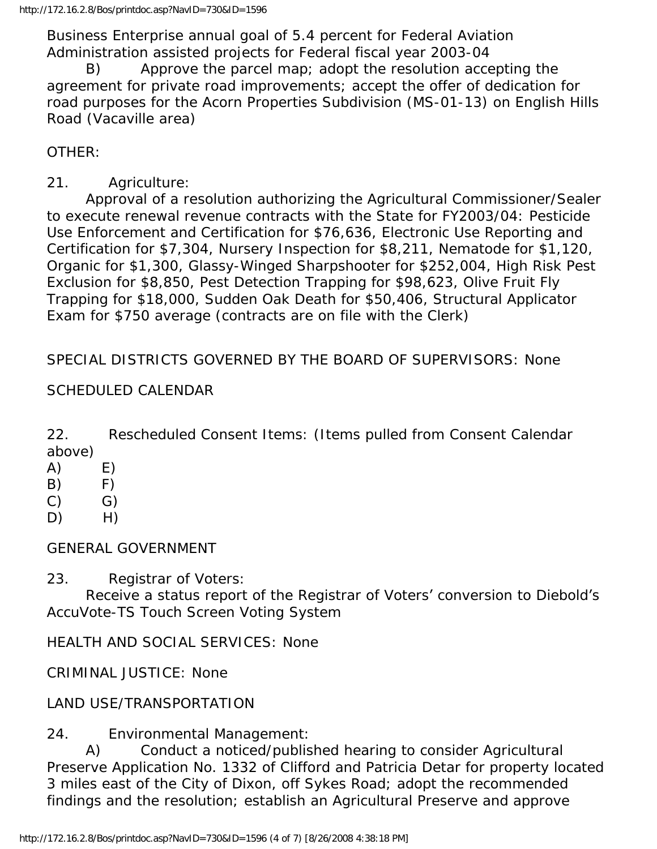Business Enterprise annual goal of 5.4 percent for Federal Aviation Administration assisted projects for Federal fiscal year 2003-04

 B) Approve the parcel map; adopt the resolution accepting the agreement for private road improvements; accept the offer of dedication for road purposes for the Acorn Properties Subdivision (MS-01-13) on English Hills Road (Vacaville area)

OTHER:

### 21. Agriculture:

 Approval of a resolution authorizing the Agricultural Commissioner/Sealer to execute renewal revenue contracts with the State for FY2003/04: Pesticide Use Enforcement and Certification for \$76,636, Electronic Use Reporting and Certification for \$7,304, Nursery Inspection for \$8,211, Nematode for \$1,120, Organic for \$1,300, Glassy-Winged Sharpshooter for \$252,004, High Risk Pest Exclusion for \$8,850, Pest Detection Trapping for \$98,623, Olive Fruit Fly Trapping for \$18,000, Sudden Oak Death for \$50,406, Structural Applicator Exam for \$750 average (contracts are on file with the Clerk)

SPECIAL DISTRICTS GOVERNED BY THE BOARD OF SUPERVISORS: None

### SCHEDULED CALENDAR

22. Rescheduled Consent Items: (Items pulled from Consent Calendar above)

- $(A)$   $E)$
- $(B)$  F)
- $(C)$   $G)$
- $D)$  H)

GENERAL GOVERNMENT

23. Registrar of Voters:

 Receive a status report of the Registrar of Voters' conversion to Diebold's AccuVote-TS Touch Screen Voting System

HEALTH AND SOCIAL SERVICES: None

CRIMINAL JUSTICE: None

LAND USE/TRANSPORTATION

24. Environmental Management:

 A) Conduct a noticed/published hearing to consider Agricultural Preserve Application No. 1332 of Clifford and Patricia Detar for property located 3 miles east of the City of Dixon, off Sykes Road; adopt the recommended findings and the resolution; establish an Agricultural Preserve and approve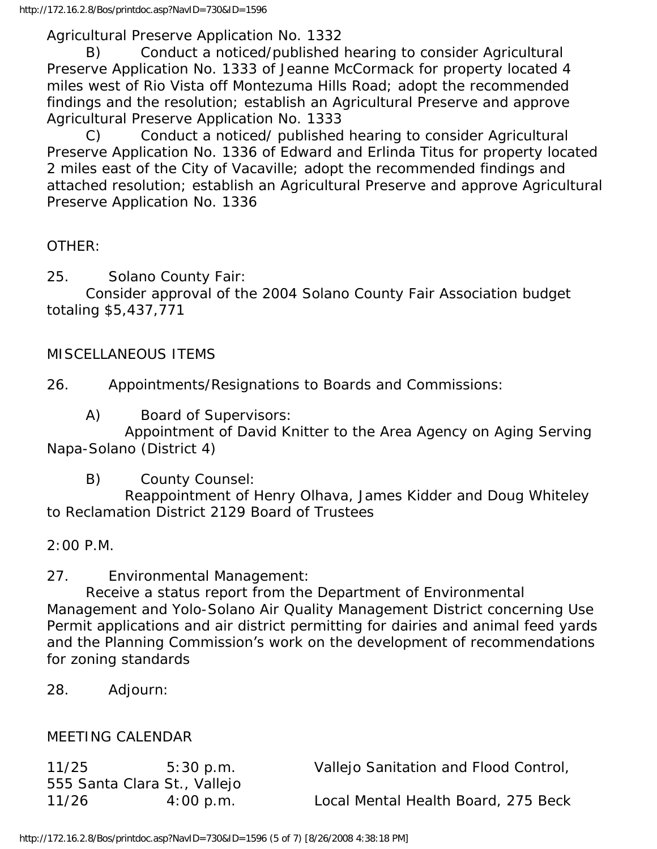Agricultural Preserve Application No. 1332

 B) Conduct a noticed/published hearing to consider Agricultural Preserve Application No. 1333 of Jeanne McCormack for property located 4 miles west of Rio Vista off Montezuma Hills Road; adopt the recommended findings and the resolution; establish an Agricultural Preserve and approve Agricultural Preserve Application No. 1333

 C) Conduct a noticed/ published hearing to consider Agricultural Preserve Application No. 1336 of Edward and Erlinda Titus for property located 2 miles east of the City of Vacaville; adopt the recommended findings and attached resolution; establish an Agricultural Preserve and approve Agricultural Preserve Application No. 1336

#### OTHER:

25. Solano County Fair:

 Consider approval of the 2004 Solano County Fair Association budget totaling \$5,437,771

#### MISCELLANEOUS ITEMS

26. Appointments/Resignations to Boards and Commissions:

A) Board of Supervisors:

 Appointment of David Knitter to the Area Agency on Aging Serving Napa-Solano (District 4)

B) County Counsel:

 Reappointment of Henry Olhava, James Kidder and Doug Whiteley to Reclamation District 2129 Board of Trustees

2:00 P.M.

27. Environmental Management:

 Receive a status report from the Department of Environmental Management and Yolo-Solano Air Quality Management District concerning Use Permit applications and air district permitting for dairies and animal feed yards and the Planning Commission's work on the development of recommendations for zoning standards

28. Adjourn:

#### MEETING CALENDAR

| 11/25 | 5:30 p.m.                    | Vallejo Sanitation and Flood Control, |
|-------|------------------------------|---------------------------------------|
|       | 555 Santa Clara St., Vallejo |                                       |
| 11/26 | $4:00$ p.m.                  | Local Mental Health Board, 275 Beck   |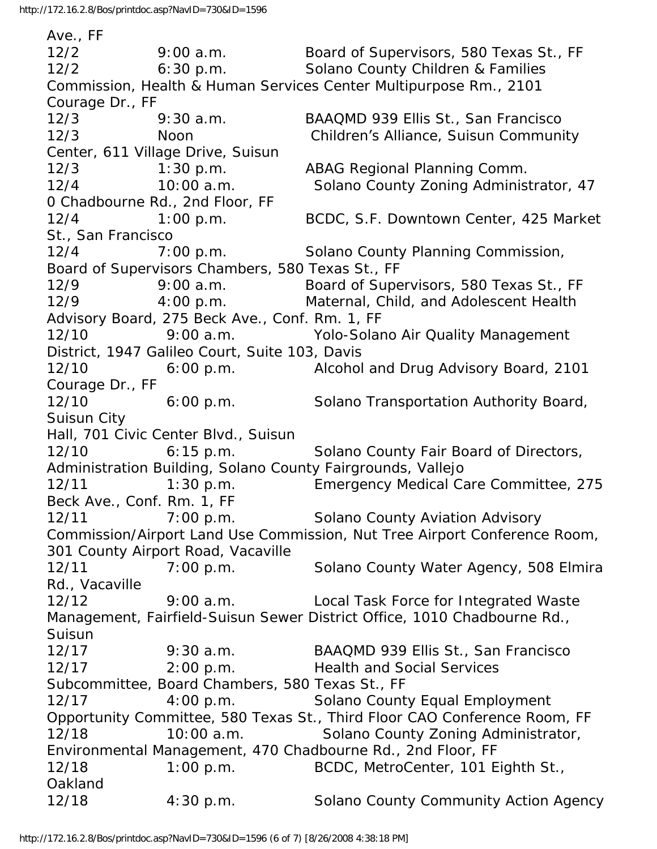Ave., FF 12/2 9:00 a.m. Board of Supervisors, 580 Texas St., FF 12/2 6:30 p.m. Solano County Children & Families Commission, Health & Human Services Center Multipurpose Rm., 2101 Courage Dr., FF 12/3 9:30 a.m. BAAQMD 939 Ellis St., San Francisco 12/3 Noon Children's Alliance, Suisun Community Center, 611 Village Drive, Suisun 12/3 1:30 p.m. ABAG Regional Planning Comm. 12/4 10:00 a.m. Solano County Zoning Administrator, 47 0 Chadbourne Rd., 2nd Floor, FF 12/4 1:00 p.m. BCDC, S.F. Downtown Center, 425 Market St., San Francisco 12/4 7:00 p.m. Solano County Planning Commission, Board of Supervisors Chambers, 580 Texas St., FF 12/9 9:00 a.m. Board of Supervisors, 580 Texas St., FF 12/9 4:00 p.m. Maternal, Child, and Adolescent Health Advisory Board, 275 Beck Ave., Conf. Rm. 1, FF 12/10 9:00 a.m. Yolo-Solano Air Quality Management District, 1947 Galileo Court, Suite 103, Davis 12/10 6:00 p.m. Alcohol and Drug Advisory Board, 2101 Courage Dr., FF 12/10 6:00 p.m. Solano Transportation Authority Board, Suisun City Hall, 701 Civic Center Blvd., Suisun 12/10 6:15 p.m. Solano County Fair Board of Directors, Administration Building, Solano County Fairgrounds, Vallejo 12/11 1:30 p.m. Emergency Medical Care Committee, 275 Beck Ave., Conf. Rm. 1, FF 12/11 7:00 p.m. Solano County Aviation Advisory Commission/Airport Land Use Commission, Nut Tree Airport Conference Room, 301 County Airport Road, Vacaville 12/11 7:00 p.m. Solano County Water Agency, 508 Elmira Rd., Vacaville 12/12 9:00 a.m. Local Task Force for Integrated Waste Management, Fairfield-Suisun Sewer District Office, 1010 Chadbourne Rd., Suisun 12/17 9:30 a.m. BAAQMD 939 Ellis St., San Francisco 12/17 2:00 p.m. Health and Social Services Subcommittee, Board Chambers, 580 Texas St., FF 12/17 4:00 p.m. Solano County Equal Employment Opportunity Committee, 580 Texas St., Third Floor CAO Conference Room, FF 12/18 10:00 a.m. Solano County Zoning Administrator, Environmental Management, 470 Chadbourne Rd., 2nd Floor, FF 12/18 1:00 p.m. BCDC, MetroCenter, 101 Eighth St., Oakland 12/18 4:30 p.m. Solano County Community Action Agency